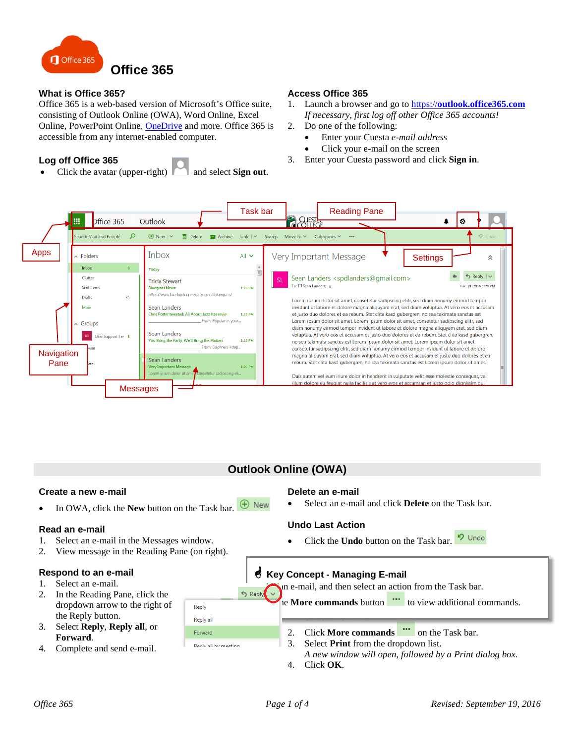

## **What is Office 365?**

Office 365 is a web-based version of Microsoft's Office suite, consisting of Outlook Online (OWA), Word Online, Excel Online, PowerPoint Online, [OneDrive](http://www.cuesta.edu/departments/documents/training_docs/OneDrive.pdf) and more. Office 365 is accessible from any internet-enabled computer.

## **Log off Office 365**

• Click the avatar (upper-right) and select **Sign out**.

# 2. Do one of the following:

• Enter your Cuesta *e-mail address*

1. Launch a browser and go to https://**[outlook.office365.com](https://outlook.office365.com/)** *If necessary, first log off other Office 365 accounts!*

- Click your e-mail on the screen 3. Enter your Cuesta password and click **Sign in**.
- Task bar Reading Pane

**Access Office 365**



## **Outlook Online (OWA)**

#### **Create a new e-mail**

 $\bigoplus$  New In OWA, click the **New** button on the Task bar.

#### **Read an e-mail**

- 1. Select an e-mail in the Messages window.
- 2. View message in the Reading Pane (on right).

#### **Respond to an e-mail**

- 1. Select an e-mail.
- 2. In the Reading Pane, click the dropdown arrow to the right of the Reply button.
- 3. Select **Reply**, **Reply all**, or **Forward**.
- 4. Complete and send e-mail.

#### **Delete an e-mail**

• Select an e-mail and click **Delete** on the Task bar.

#### **Undo Last Action**

 $9$  Undo • Click the **Undo** button on the Task bar.

 $\mathcal{\mathcal{P}}$  Key Concept - Managing E-mail In e-mail, and then select an action from the Task bar. **Print and More commands** button to view additional commands. Reply -. Select an e-mail. Reply all 2. Click **More commands ...** on the Task bar. Forward 3. Select **Print** from the dropdown list. Renivall by meeting *A new window will open, followed by a Print dialog box.* 4. Click **OK**.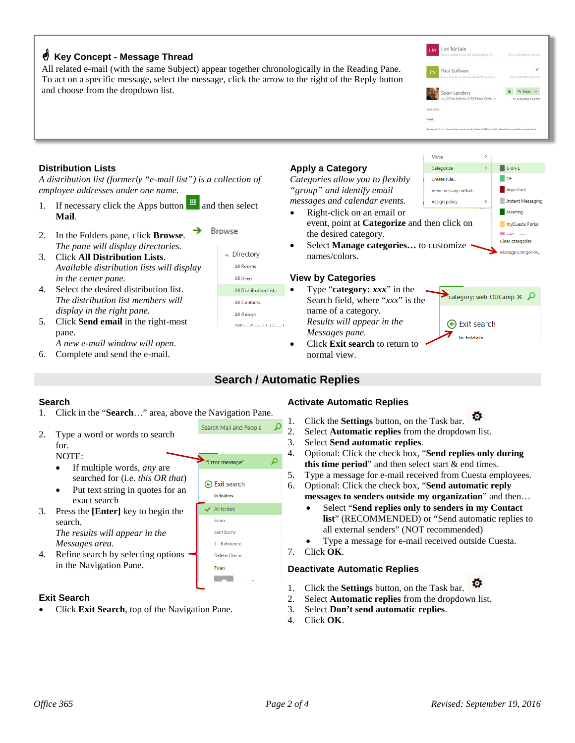## **Key Concept - Message Thread**

All related e-mail (with the same Subject) appear together chronologically in the Reading Pane. To act on a specific message, select the message, click the arrow to the right of the Reply button and choose from the dropdown list.

**Browse** 

## **Distribution Lists**

*A distribution list (formerly "e-mail list") is a collection of employee addresses under one name.*

- 1. If necessary click the Apps button  $\frac{1}{\cdots}$  and then select **Mail**.
- 2. In the Folders pane, click **Browse**. *The pane will display directories.*
- 3. Click **All Distribution Lists**. *Available distribution lists will display in the center pane.*
- 4. Select the desired distribution list. *The distribution list members will display in the right pane.*
- 5. Click **Send email** in the right-most pane.

*A new e-mail window will open.*

6. Complete and send the e-mail.

## **Apply a Category**

*Categories allow you to flexibly "group" and identify email messages and calendar events.*

- Right-click on an email or event, point at **Categorize** and then click on the desired category.
- Select **Manage categories...** to customize names/colors.

## **View by Categories**

- Type "**category:** *xxx*" in the Search field, where "*xxx*" is the name of a category. *Results will appear in the Messages pane.*
- Click **Exit search** to return to normal view.

## **Search**

- 1. Click in the "**Search**…" area, above the Navigation Pane.
- 2. Type a word or words to search for.

NOTE:

- If multiple words, *any* are searched for (i.e. *this OR that*)
- Put text string in quotes for an exact search
- 3. Press the **[Enter]** key to begin the search. *The results will appear in the Messages area.*
- 4. Refine search by selecting options in the Navigation Pane.

#### **Exit Search**

• Click **Exit Search**, top of the Navigation Pane.

#### **Activate Automatic Replies**

ø 1. Click the **Settings** button, on the Task bar.

- 2. Select **Automatic replies** from the dropdown list.
- 3. Select **Send automatic replies**.
- 4. Optional: Click the check box, "**Send replies only during this time period**" and then select start & end times.
- 5. Type a message for e-mail received from Cuesta employees.
- 6. Optional: Click the check box, "**Send automatic reply**

#### **messages to senders outside my organization**" and then…

- Select "**Send replies only to senders in my Contact list**" (RECOMMENDED) or "Send automatic replies to all external senders" (NOT recommended)
- Type a message for e-mail received outside Cuesta.
- 7. Click **OK**.

## **Deactivate Automatic Replies**

- 1. Click the **Settings** button, on the Task bar.
- 2. Select **Automatic replies** from the dropdown list.
- 3. Select **Don't send automatic replies**.
- 4. Click **OK**.





category: web-OUCamp X Q

**⊙** Exit search

In folders

**b** the Reply | v

All Rooms All Users All Distribution Lists **All Contacts** All Groups

Offline Global Adde

 $\land$  Directory

**Search / Automatic Replies**



Lori McLain

Paul Sullivan

Sean Landers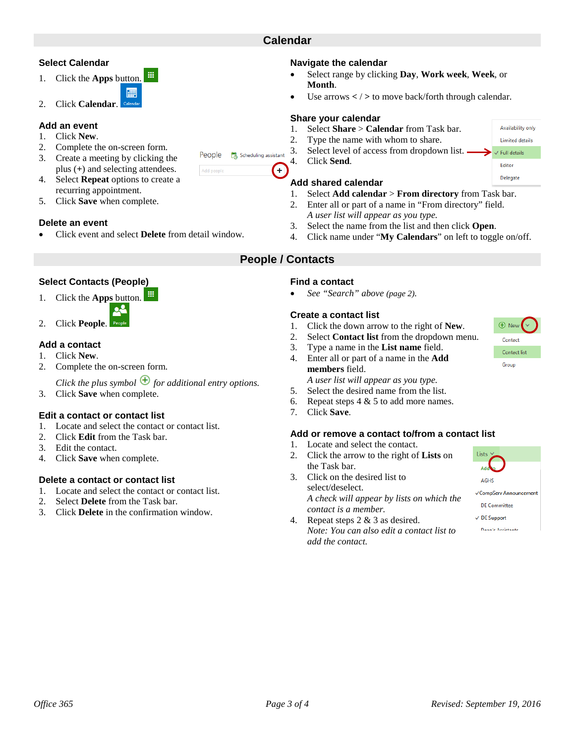**Select Calendar**

2. Click **Calendar**.

1. Click the **Apps** button.

- 2. Complete the on-screen form.
- 3. Create a meeting by clicking the plus (**+**) and selecting attendees.
- 4. Select **Repeat** options to create a recurring appointment.
- 5. Click **Save** when complete.

## **Delete an event**

• Click event and select **Delete** from detail window.

冊

## **Select Contacts (People)**

- 1. Click the **Apps** button.
	-
- 2. Click **People**.

## **Add a contact**

- 1. Click **New**.
- 2. Complete the on-screen form.

*Click the plus symbol*  $\bigoplus$  *for additional entry options.* 

3. Click **Save** when complete.

## **Edit a contact or contact list**

- 1. Locate and select the contact or contact list.
- 2. Click **Edit** from the Task bar.
- 3. Edit the contact.
- 4. Click **Save** when complete.

## **Delete a contact or contact list**

- 1. Locate and select the contact or contact list.
- 2. Select **Delete** from the Task bar.
- 3. Click **Delete** in the confirmation window.

**Calendar**

Lo Scheduling assistant

 $(+)$ 

People

- **Navigate the calendar**
- Select range by clicking **Day**, **Work week**, **Week**, or **Month**.
- Use arrows **<** / **>** to move back/forth through calendar.

## **Share your calendar**

- 1. Select **Share** > **Calendar** from Task bar.
- 2. Type the name with whom to share.
- 3. Select level of access from dropdown list.
- 4. Click **Send**.

## **Add shared calendar**

- 1. Select **Add calendar** > **From directory** from Task bar.
- 2. Enter all or part of a name in "From directory" field. *A user list will appear as you type.*
- 3. Select the name from the list and then click **Open**.
- 4. Click name under "**My Calendars**" on left to toggle on/off.

## **People / Contacts**

## **Find a contact**

• *See "Search" above (page 2).*

## **Create a contact list**

- 1. Click the down arrow to the right of **New**.
- 2. Select **Contact list** from the dropdown menu.
- 3. Type a name in the **List name** field.
- 4. Enter all or part of a name in the **Add members** field. *A user list will appear as you type.*
- 5. Select the desired name from the list.
- 6. Repeat steps  $4 \& 5$  to add more names.
- 7. Click **Save**.

#### **Add or remove a contact to/from a contact list**

- 1. Locate and select the contact.
- 2. Click the arrow to the right of **Lists** on the Task bar.
- 3. Click on the desired list to select/deselect. *A check will appear by lists on which the contact is a member.*
- 4. Repeat steps 2 & 3 as desired. *Note: You can also edit a contact list to add the contact.*

Lists

AGHS

√CompServ Announcemen **DE Committee**  $\vee$  DE Support Dean's Accident

Contact Contact list Group



Availability only Limited details  $\vee$  Full details

Editor

Delegate